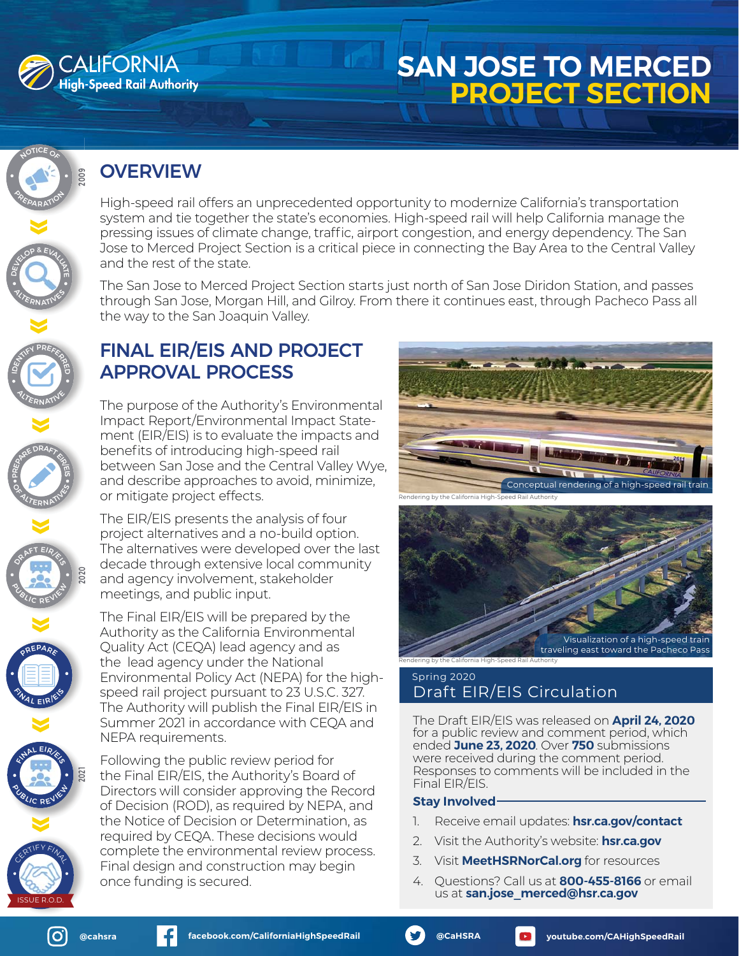

9020

# **SAN JOSE TO MERCED PROJECT SECTION**

## OVERVIEW

High-speed rail offers an unprecedented opportunity to modernize California's transportation system and tie together the state's economies. High-speed rail will help California manage the pressing issues of climate change, traffic, airport congestion, and energy dependency. The San Jose to Merced Project Section is a critical piece in connecting the Bay Area to the Central Valley and the rest of the state.

The San Jose to Merced Project Section starts just north of San Jose Diridon Station, and passes through San Jose, Morgan Hill, and Gilroy. From there it continues east, through Pacheco Pass all the way to the San Joaquin Valley.

### FINAL EIR/EIS AND PROJECT APPROVAL PROCESS

The purpose of the Authority's Environmental Impact Report/Environmental Impact Statement (EIR/EIS) is to evaluate the impacts and benefits of introducing high-speed rail between San Jose and the Central Valley Wye, and describe approaches to avoid, minimize, or mitigate project effects.

The EIR/EIS presents the analysis of four project alternatives and a no-build option. The alternatives were developed over the last decade through extensive local community and agency involvement, stakeholder meetings, and public input.

The Final EIR/EIS will be prepared by the Authority as the California Environmental Quality Act (CEQA) lead agency and as the lead agency under the National Environmental Policy Act (NEPA) for the highspeed rail project pursuant to 23 U.S.C. 327. The Authority will publish the Final EIR/EIS in Summer 2021 in accordance with CEQA and NEPA requirements.

Following the public review period for the Final EIR/EIS, the Authority's Board of Directors will consider approving the Record of Decision (ROD), as required by NEPA, and the Notice of Decision or Determination, as required by CEQA. These decisions would complete the environmental review process. Final design and construction may begin once funding is secured.





### Spring 2020 Draft EIR/EIS Circulation

The Draft EIR/EIS was released on **April 24, 2020** for a public review and comment period, which ended **June 23, 2020**. Over **750** submissions were received during the comment period. Responses to comments will be included in the Final EIR/EIS.

### **Stay Involved**

- 1. Receive email updates: **[hsr.ca.gov/contact](http://hsr.ca.gov/contact)**
- 2. Visit the Authority's website: **[hsr.ca.gov](https://hsr.ca.gov/)**
- 3. Visit **[MeetHSRNorCal.org](http://meethsrnorcal.org)** for resources
- 4. Questions? Call us at **800-455-8166** or email us at **[san.jose\\_merced@hsr.ca.gov](mailto:san.jose_merced%40hsr.ca.gov?subject=)**



**PREPARE** 

REPARTED

**ANOP & EVALUATE** 

**PREPARATION** 

NOTICE OF

**ALTERNATIVES** 

ENTIFY PREFERR

**ALTERNATIVE** 

 $\circ$  $\overline{\phantom{a}}$ 

OF ALTERNATIVES

ORAFT EIR/E

2020

**PLACE VIEW** 

TINAL EIRI<sup>ES</sup>





1202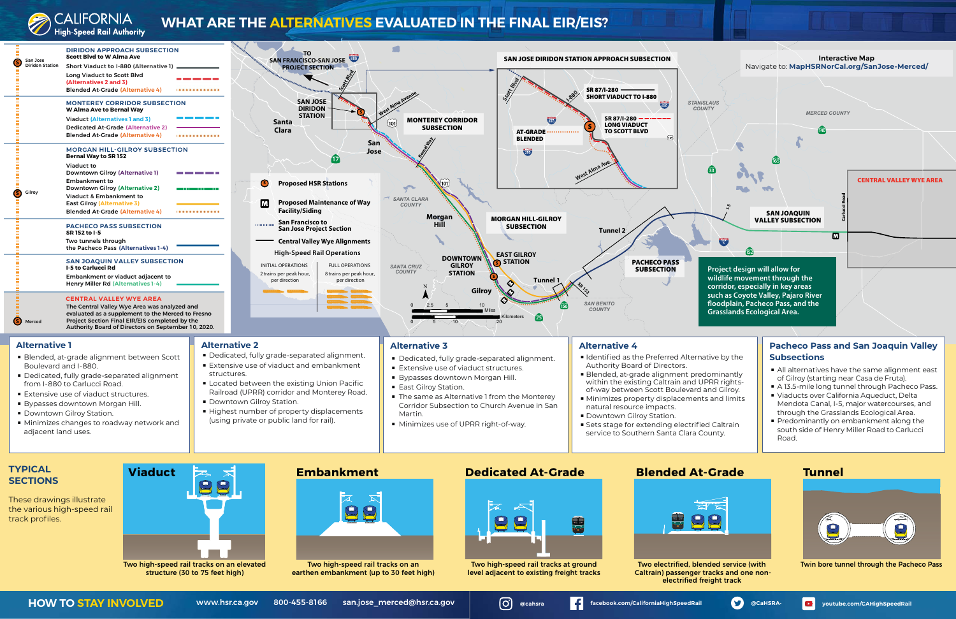

## **WHAT ARE THE ALTERNATIVES EVALUATED IN THE FINAL EIR/EIS?**



the various high-speed rail track profiles.



Two high-speed rail tracks on an elevated structure (30 to 75 feet high)



Two high-speed rail tracks on an earthen embankment (up to 30 feet high)



Two high-speed rail tracks at ground level adjacent to existing freight tracks

HOW TO STAY INVOLVED [www.hsr.ca.gov](http://www.hsr.ca.gov) 800-455-8166 [san.jose\\_merced@hsr.ca.gov](mailto:san.jose_merced%40hsr.ca.gov?subject=) **@[@cahsra](https://www.instagram.com/cahsra/?hl=en)** anall [facebook.com/CaliforniaHighSpeedRail](http://https://www.facebook.com/CaliforniaHighSpeedRail) & [@CaHSRA-](http://https://twitter.com/CaHSRA?ref_src=twsrc%5Egoogle%7Ctwcamp%5Eserp%7Ctwgr%5Eauthor) **@**[youtube.com/CAHighSpeedRail](https://www.youtube.com/CAHighSpeedRail)

www.hsr.ca.gov



Two electrified, blended service (with Caltrain) passenger tracks and one nonelectrified freight track



Twin bore tunnel through the Pacheco Pass